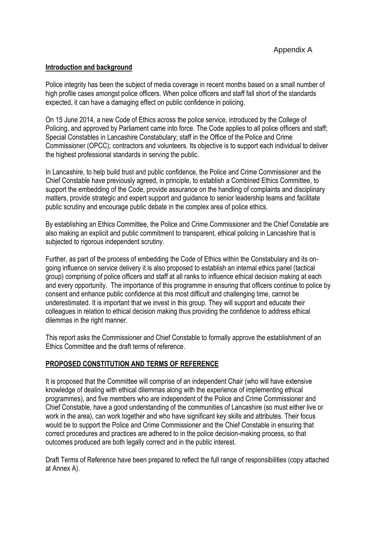#### **Introduction and background**

Police integrity has been the subject of media coverage in recent months based on a small number of high profile cases amongst police officers. When police officers and staff fall short of the standards expected, it can have a damaging effect on public confidence in policing.

On 15 June 2014, a new Code of Ethics across the police service, introduced by the College of Policing, and approved by Parliament came into force. The Code applies to all police officers and staff; Special Constables in Lancashire Constabulary; staff in the Office of the Police and Crime Commissioner (OPCC); contractors and volunteers. Its objective is to support each individual to deliver the highest professional standards in serving the public.

In Lancashire, to help build trust and public confidence, the Police and Crime Commissioner and the Chief Constable have previously agreed, in principle, to establish a Combined Ethics Committee, to support the embedding of the Code, provide assurance on the handling of complaints and disciplinary matters, provide strategic and expert support and guidance to senior leadership teams and facilitate public scrutiny and encourage public debate in the complex area of police ethics.

By establishing an Ethics Committee, the Police and Crime Commissioner and the Chief Constable are also making an explicit and public commitment to transparent, ethical policing in Lancashire that is subjected to rigorous independent scrutiny.

Further, as part of the process of embedding the Code of Ethics within the Constabulary and its ongoing influence on service delivery it is also proposed to establish an internal ethics panel (tactical group) comprising of police officers and staff at all ranks to influence ethical decision making at each and every opportunity. The importance of this programme in ensuring that officers continue to police by consent and enhance public confidence at this most difficult and challenging time, cannot be underestimated. It is important that we invest in this group. They will support and educate their colleagues in relation to ethical decision making thus providing the confidence to address ethical dilemmas in the right manner.

This report asks the Commissioner and Chief Constable to formally approve the establishment of an Ethics Committee and the draft terms of reference.

### **PROPOSED CONSTITUTION AND TERMS OF REFERENCE**

It is proposed that the Committee will comprise of an independent Chair (who will have extensive knowledge of dealing with ethical dilemmas along with the experience of implementing ethical programmes), and five members who are independent of the Police and Crime Commissioner and Chief Constable, have a good understanding of the communities of Lancashire (so must either live or work in the area), can work together and who have significant key skills and attributes. Their focus would be to support the Police and Crime Commissioner and the Chief Constable in ensuring that correct procedures and practices are adhered to in the police decision-making process, so that outcomes produced are both legally correct and in the public interest.

Draft Terms of Reference have been prepared to reflect the full range of responsibilities (copy attached at Annex A).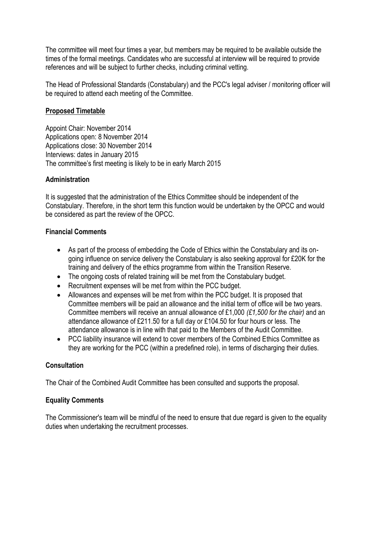The committee will meet four times a year, but members may be required to be available outside the times of the formal meetings. Candidates who are successful at interview will be required to provide references and will be subject to further checks, including criminal vetting.

The Head of Professional Standards (Constabulary) and the PCC's legal adviser / monitoring officer will be required to attend each meeting of the Committee.

### **Proposed Timetable**

Appoint Chair: November 2014 Applications open: 8 November 2014 Applications close: 30 November 2014 Interviews: dates in January 2015 The committee's first meeting is likely to be in early March 2015

### **Administration**

It is suggested that the administration of the Ethics Committee should be independent of the Constabulary. Therefore, in the short term this function would be undertaken by the OPCC and would be considered as part the review of the OPCC.

### **Financial Comments**

- As part of the process of embedding the Code of Ethics within the Constabulary and its ongoing influence on service delivery the Constabulary is also seeking approval for £20K for the training and delivery of the ethics programme from within the Transition Reserve.
- The ongoing costs of related training will be met from the Constabulary budget.
- Recruitment expenses will be met from within the PCC budget.
- Allowances and expenses will be met from within the PCC budget. It is proposed that Committee members will be paid an allowance and the initial term of office will be two years. Committee members will receive an annual allowance of £1,000 *(£1,500 for the chair)* and an attendance allowance of £211.50 for a full day or £104.50 for four hours or less. The attendance allowance is in line with that paid to the Members of the Audit Committee.
- PCC liability insurance will extend to cover members of the Combined Ethics Committee as they are working for the PCC (within a predefined role), in terms of discharging their duties.

## **Consultation**

The Chair of the Combined Audit Committee has been consulted and supports the proposal.

## **Equality Comments**

The Commissioner's team will be mindful of the need to ensure that due regard is given to the equality duties when undertaking the recruitment processes.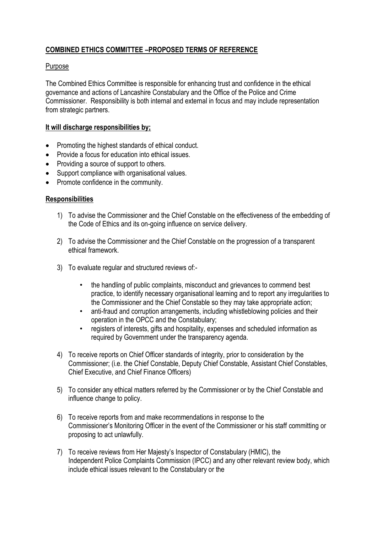# **COMBINED ETHICS COMMITTEE –PROPOSED TERMS OF REFERENCE**

### Purpose

The Combined Ethics Committee is responsible for enhancing trust and confidence in the ethical governance and actions of Lancashire Constabulary and the Office of the Police and Crime Commissioner. Responsibility is both internal and external in focus and may include representation from strategic partners.

#### **It will discharge responsibilities by;**

- Promoting the highest standards of ethical conduct.
- Provide a focus for education into ethical issues.
- Providing a source of support to others.
- Support compliance with organisational values.
- Promote confidence in the community.

#### **Responsibilities**

- 1) To advise the Commissioner and the Chief Constable on the effectiveness of the embedding of the Code of Ethics and its on-going influence on service delivery.
- 2) To advise the Commissioner and the Chief Constable on the progression of a transparent ethical framework.
- 3) To evaluate regular and structured reviews of:-
	- the handling of public complaints, misconduct and grievances to commend best practice, to identify necessary organisational learning and to report any irregularities to the Commissioner and the Chief Constable so they may take appropriate action;
	- anti-fraud and corruption arrangements, including whistleblowing policies and their operation in the OPCC and the Constabulary;
	- registers of interests, gifts and hospitality, expenses and scheduled information as required by Government under the transparency agenda.
- 4) To receive reports on Chief Officer standards of integrity, prior to consideration by the Commissioner; (i.e. the Chief Constable, Deputy Chief Constable, Assistant Chief Constables, Chief Executive, and Chief Finance Officers)
- 5) To consider any ethical matters referred by the Commissioner or by the Chief Constable and influence change to policy.
- 6) To receive reports from and make recommendations in response to the Commissioner's Monitoring Officer in the event of the Commissioner or his staff committing or proposing to act unlawfully.
- 7) To receive reviews from Her Majesty's Inspector of Constabulary (HMIC), the Independent Police Complaints Commission (IPCC) and any other relevant review body, which include ethical issues relevant to the Constabulary or the